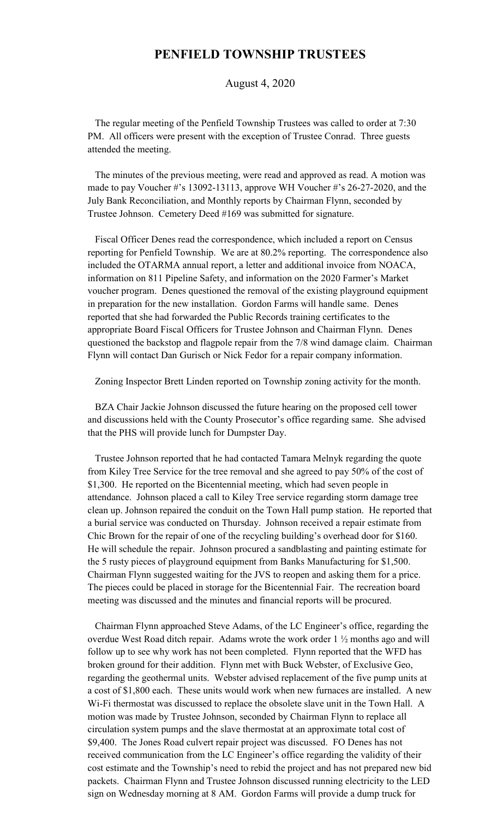## **PENFIELD TOWNSHIP TRUSTEES**

August 4, 2020

 The regular meeting of the Penfield Township Trustees was called to order at 7:30 PM. All officers were present with the exception of Trustee Conrad. Three guests attended the meeting.

 The minutes of the previous meeting, were read and approved as read. A motion was made to pay Voucher #'s 13092-13113, approve WH Voucher #'s 26-27-2020, and the July Bank Reconciliation, and Monthly reports by Chairman Flynn, seconded by Trustee Johnson. Cemetery Deed #169 was submitted for signature.

 Fiscal Officer Denes read the correspondence, which included a report on Census reporting for Penfield Township. We are at 80.2% reporting. The correspondence also included the OTARMA annual report, a letter and additional invoice from NOACA, information on 811 Pipeline Safety, and information on the 2020 Farmer's Market voucher program. Denes questioned the removal of the existing playground equipment in preparation for the new installation. Gordon Farms will handle same. Denes reported that she had forwarded the Public Records training certificates to the appropriate Board Fiscal Officers for Trustee Johnson and Chairman Flynn. Denes questioned the backstop and flagpole repair from the 7/8 wind damage claim. Chairman Flynn will contact Dan Gurisch or Nick Fedor for a repair company information.

Zoning Inspector Brett Linden reported on Township zoning activity for the month.

 BZA Chair Jackie Johnson discussed the future hearing on the proposed cell tower and discussions held with the County Prosecutor's office regarding same. She advised that the PHS will provide lunch for Dumpster Day.

 Trustee Johnson reported that he had contacted Tamara Melnyk regarding the quote from Kiley Tree Service for the tree removal and she agreed to pay 50% of the cost of \$1,300. He reported on the Bicentennial meeting, which had seven people in attendance. Johnson placed a call to Kiley Tree service regarding storm damage tree clean up. Johnson repaired the conduit on the Town Hall pump station. He reported that a burial service was conducted on Thursday. Johnson received a repair estimate from Chic Brown for the repair of one of the recycling building's overhead door for \$160. He will schedule the repair. Johnson procured a sandblasting and painting estimate for the 5 rusty pieces of playground equipment from Banks Manufacturing for \$1,500. Chairman Flynn suggested waiting for the JVS to reopen and asking them for a price. The pieces could be placed in storage for the Bicentennial Fair. The recreation board meeting was discussed and the minutes and financial reports will be procured.

 Chairman Flynn approached Steve Adams, of the LC Engineer's office, regarding the overdue West Road ditch repair. Adams wrote the work order 1 ½ months ago and will follow up to see why work has not been completed. Flynn reported that the WFD has broken ground for their addition. Flynn met with Buck Webster, of Exclusive Geo, regarding the geothermal units. Webster advised replacement of the five pump units at a cost of \$1,800 each. These units would work when new furnaces are installed. A new Wi-Fi thermostat was discussed to replace the obsolete slave unit in the Town Hall. A motion was made by Trustee Johnson, seconded by Chairman Flynn to replace all circulation system pumps and the slave thermostat at an approximate total cost of \$9,400. The Jones Road culvert repair project was discussed. FO Denes has not received communication from the LC Engineer's office regarding the validity of their cost estimate and the Township's need to rebid the project and has not prepared new bid packets. Chairman Flynn and Trustee Johnson discussed running electricity to the LED sign on Wednesday morning at 8 AM. Gordon Farms will provide a dump truck for